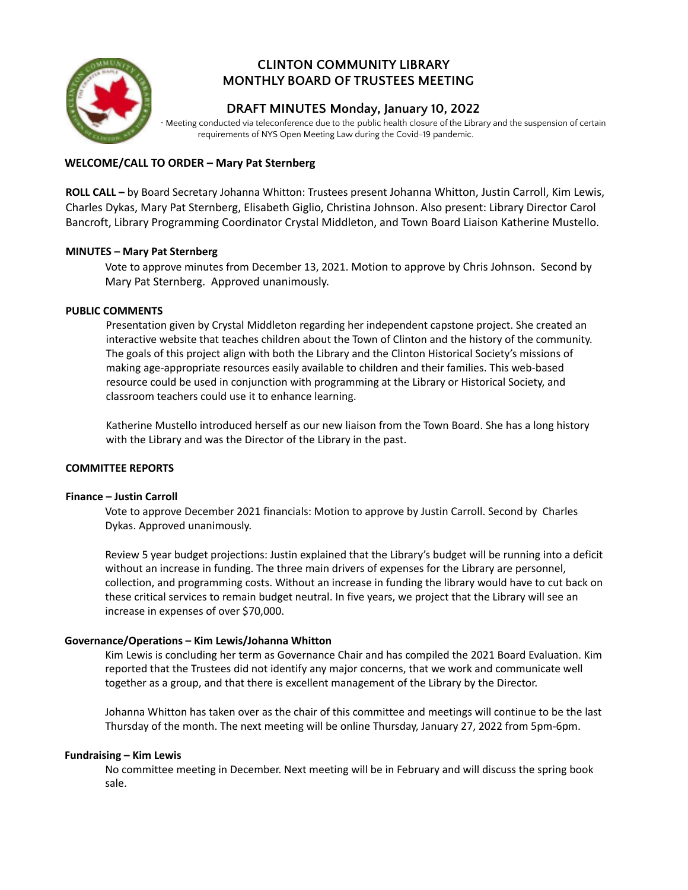

# **CLINTON COMMUNITY LIBRARY MONTHLY BOARD OF TRUSTEES MEETING**

## **DRAFT MINUTES Monday, January 10, 2022**

∙ Meeting conducted via teleconference due to the public health closure of the Library and the suspension of certain requirements of NYS Open Meeting Law during the Covid-19 pandemic.

### **WELCOME/CALL TO ORDER – Mary Pat Sternberg**

**ROLL CALL –** by Board Secretary Johanna Whitton: Trustees present Johanna Whitton, Justin Carroll, Kim Lewis, Charles Dykas, Mary Pat Sternberg, Elisabeth Giglio, Christina Johnson. Also present: Library Director Carol Bancroft, Library Programming Coordinator Crystal Middleton, and Town Board Liaison Katherine Mustello.

#### **MINUTES – Mary Pat Sternberg**

Vote to approve minutes from December 13, 2021. Motion to approve by Chris Johnson. Second by Mary Pat Sternberg. Approved unanimously.

#### **PUBLIC COMMENTS**

Presentation given by Crystal Middleton regarding her independent capstone project. She created an interactive website that teaches children about the Town of Clinton and the history of the community. The goals of this project align with both the Library and the Clinton Historical Society's missions of making age-appropriate resources easily available to children and their families. This web-based resource could be used in conjunction with programming at the Library or Historical Society, and classroom teachers could use it to enhance learning.

Katherine Mustello introduced herself as our new liaison from the Town Board. She has a long history with the Library and was the Director of the Library in the past.

#### **COMMITTEE REPORTS**

#### **Finance – Justin Carroll**

Vote to approve December 2021 financials: Motion to approve by Justin Carroll. Second by Charles Dykas. Approved unanimously.

Review 5 year budget projections: Justin explained that the Library's budget will be running into a deficit without an increase in funding. The three main drivers of expenses for the Library are personnel, collection, and programming costs. Without an increase in funding the library would have to cut back on these critical services to remain budget neutral. In five years, we project that the Library will see an increase in expenses of over \$70,000.

#### **Governance/Operations – Kim Lewis/Johanna Whitton**

Kim Lewis is concluding her term as Governance Chair and has compiled the 2021 Board Evaluation. Kim reported that the Trustees did not identify any major concerns, that we work and communicate well together as a group, and that there is excellent management of the Library by the Director.

Johanna Whitton has taken over as the chair of this committee and meetings will continue to be the last Thursday of the month. The next meeting will be online Thursday, January 27, 2022 from 5pm-6pm.

#### **Fundraising – Kim Lewis**

No committee meeting in December. Next meeting will be in February and will discuss the spring book sale.